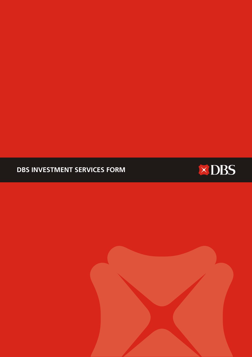# **DBS INVESTMENT SERVICES FORM**



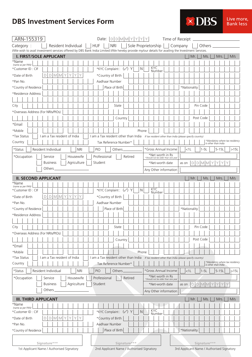

| ARN-155319                                                                                                                                                     |                              |                 |           |   |                     |   |            |                                                                                                |            | Date: $D[D M M Y Y Y Y $ |                          |         |              |            |                     |                                    | Time of Receipt.                                          |         |     |           |     |                                                       |         |  |      |  |
|----------------------------------------------------------------------------------------------------------------------------------------------------------------|------------------------------|-----------------|-----------|---|---------------------|---|------------|------------------------------------------------------------------------------------------------|------------|--------------------------|--------------------------|---------|--------------|------------|---------------------|------------------------------------|-----------------------------------------------------------|---------|-----|-----------|-----|-------------------------------------------------------|---------|--|------|--|
| Category:<br>I/We wish to avail investment services offered by DBS Bank India Limited I/We hereby provide my/our details for availing the Investment Services. |                              |                 |           |   | Resident Individual |   |            | <b>HUF</b>                                                                                     | <b>NRI</b> |                          |                          |         |              |            | Sole Proprietorship |                                    | Company                                                   |         |     | Others    |     |                                                       |         |  |      |  |
| <b>I. FIRST/SOLE APPLICANT</b>                                                                                                                                 |                              |                 |           |   |                     |   |            |                                                                                                |            |                          |                          |         |              |            |                     |                                    |                                                           |         | Mr. |           | Ms. |                                                       | Mrs.    |  | M/s  |  |
| *Name<br>(name as per PAN)                                                                                                                                     |                              |                 |           |   |                     |   |            |                                                                                                |            |                          |                          |         |              |            |                     |                                    |                                                           |         |     |           |     |                                                       |         |  |      |  |
| *Customer ID : CIF                                                                                                                                             |                              |                 |           |   |                     |   |            |                                                                                                |            | *KYC Complaint: (V) Y    |                          |         | N            | <b>KYC</b> | Number              |                                    |                                                           |         |     |           |     |                                                       |         |  |      |  |
| *Date of Birth                                                                                                                                                 | D                            |                 | $D$ M M Y |   | Υ                   | Y | Υ          |                                                                                                |            | *Country of Birth        |                          |         |              |            |                     |                                    |                                                           |         |     |           |     |                                                       |         |  |      |  |
| *Pan No.                                                                                                                                                       |                              |                 |           |   |                     |   |            |                                                                                                |            | Aadhaar Number           |                          |         |              |            |                     |                                    |                                                           |         |     |           |     |                                                       |         |  |      |  |
| *Country of Residence                                                                                                                                          |                              |                 |           |   |                     |   |            |                                                                                                |            | Place of Birth           |                          |         |              |            |                     |                                    | *Nationality                                              |         |     |           |     |                                                       |         |  |      |  |
| *Residence Address                                                                                                                                             |                              |                 |           |   |                     |   |            |                                                                                                |            |                          |                          |         |              |            |                     |                                    |                                                           |         |     |           |     |                                                       |         |  |      |  |
|                                                                                                                                                                |                              |                 |           |   |                     |   |            |                                                                                                |            |                          |                          |         |              |            |                     |                                    |                                                           |         |     |           |     |                                                       |         |  |      |  |
| City                                                                                                                                                           |                              |                 |           |   |                     |   |            |                                                                                                |            | State                    |                          |         |              |            |                     |                                    |                                                           |         |     | Pin Code  |     |                                                       |         |  |      |  |
| *Overseas Address (For NRIs/PIOs)                                                                                                                              |                              |                 |           |   |                     |   |            |                                                                                                |            |                          |                          |         |              |            |                     |                                    |                                                           |         |     |           |     |                                                       |         |  |      |  |
|                                                                                                                                                                |                              |                 |           |   |                     |   |            |                                                                                                |            |                          | Country                  |         |              |            |                     |                                    |                                                           |         |     | Post Code |     |                                                       |         |  |      |  |
| *Email                                                                                                                                                         |                              |                 |           |   |                     |   |            |                                                                                                |            |                          |                          |         |              |            |                     |                                    |                                                           |         |     |           |     |                                                       |         |  |      |  |
| *Mobile                                                                                                                                                        |                              |                 |           |   |                     |   |            |                                                                                                |            |                          |                          |         | Phone        |            |                     |                                    |                                                           |         |     |           |     |                                                       |         |  |      |  |
| *Tax Status                                                                                                                                                    | I am a Tax resident of India |                 |           |   |                     |   |            | I am a Tax resident other than India If tax resident other than India (please specify country) |            |                          |                          |         |              |            |                     |                                    |                                                           |         |     |           |     |                                                       |         |  |      |  |
| Country                                                                                                                                                        |                              |                 |           |   |                     |   |            |                                                                                                |            | Tax Reference Number*    |                          |         |              |            |                     |                                    |                                                           |         |     |           |     | *Mandatory where tax residency<br>is other than India |         |  |      |  |
| $\star$ Status<br>Resident Individual                                                                                                                          |                              |                 |           |   |                     |   | <b>NRI</b> | <b>PIO</b>                                                                                     |            | Others.                  |                          |         |              |            |                     | *Gross Annual Income               |                                                           | $<$ 11  |     | $1 - 5L$  |     |                                                       | $5-15L$ |  | >15L |  |
| *Occupation                                                                                                                                                    |                              | Service         |           |   | Housewife           |   |            | Professional                                                                                   |            |                          |                          | Retired |              |            | *Net worth in Rs    |                                    |                                                           |         |     |           |     |                                                       |         |  |      |  |
|                                                                                                                                                                |                              | <b>Business</b> |           |   | Agriculture         |   |            | Student                                                                                        |            |                          |                          |         |              |            |                     | *Should not be older than one year |                                                           |         |     |           |     |                                                       |         |  |      |  |
|                                                                                                                                                                |                              | Others          |           |   |                     |   |            |                                                                                                |            |                          |                          |         |              |            | *Net-worth date     |                                    | as on                                                     |         |     |           |     | $D[D M M Y Y Y Y$                                     |         |  |      |  |
|                                                                                                                                                                |                              |                 |           |   |                     |   |            |                                                                                                |            |                          |                          |         |              |            |                     | Any Other information              |                                                           |         |     |           |     |                                                       |         |  |      |  |
| <b>II. SECOND APPLICANT</b>                                                                                                                                    |                              |                 |           |   |                     |   |            |                                                                                                |            |                          |                          |         |              |            |                     |                                    |                                                           |         | Mr. |           | Ms. |                                                       | Mrs.    |  | M/s  |  |
| *Name<br>(name as per PAN)                                                                                                                                     |                              |                 |           |   |                     |   |            |                                                                                                |            |                          |                          |         |              |            |                     |                                    |                                                           |         |     |           |     |                                                       |         |  |      |  |
| *Customer ID: CIF                                                                                                                                              |                              |                 |           |   |                     |   |            |                                                                                                |            | *KYC Complaint: (v) Y    |                          |         | $\mathsf{N}$ | <b>KYC</b> | Number              |                                    |                                                           |         |     |           |     |                                                       |         |  |      |  |
| *Date of Birth                                                                                                                                                 | D                            | $D$ M M         |           | Y | Y                   | Y | Y          |                                                                                                |            | *Country of Birth        |                          |         |              |            |                     |                                    |                                                           |         |     |           |     |                                                       |         |  |      |  |
| *Pan No.                                                                                                                                                       |                              |                 |           |   |                     |   |            |                                                                                                |            | Aadhaar Number           |                          |         |              |            |                     |                                    |                                                           |         |     |           |     |                                                       |         |  |      |  |
| *Country of Residence                                                                                                                                          |                              |                 |           |   |                     |   |            |                                                                                                |            | Place of Birth           |                          |         |              |            |                     |                                    | *Nationality                                              |         |     |           |     |                                                       |         |  |      |  |
| *Residence Address                                                                                                                                             |                              |                 |           |   |                     |   |            |                                                                                                |            |                          |                          |         |              |            |                     |                                    |                                                           |         |     |           |     |                                                       |         |  |      |  |
|                                                                                                                                                                |                              |                 |           |   |                     |   |            |                                                                                                |            |                          |                          |         |              |            |                     |                                    |                                                           |         |     |           |     |                                                       |         |  |      |  |
| City                                                                                                                                                           |                              |                 |           |   |                     |   |            |                                                                                                |            | State                    |                          |         |              |            |                     |                                    |                                                           |         |     | Pin Code  |     |                                                       |         |  |      |  |
| *Overseas Address (For NRIs/PIOs)                                                                                                                              |                              |                 |           |   |                     |   |            |                                                                                                |            |                          |                          |         |              |            |                     |                                    |                                                           |         |     |           |     |                                                       |         |  |      |  |
|                                                                                                                                                                |                              |                 |           |   |                     |   |            |                                                                                                |            |                          | Country                  |         |              |            |                     |                                    |                                                           |         |     | Post Code |     |                                                       |         |  |      |  |
| *Email                                                                                                                                                         |                              |                 |           |   |                     |   |            |                                                                                                |            |                          |                          |         |              |            |                     |                                    |                                                           |         |     |           |     |                                                       |         |  |      |  |
| *Mobile                                                                                                                                                        |                              |                 |           |   |                     |   |            |                                                                                                |            |                          |                          |         | Phone        |            |                     |                                    |                                                           |         |     |           |     |                                                       |         |  |      |  |
| *Tax Status                                                                                                                                                    | I am a Tax resident of India |                 |           |   |                     |   |            | I am a Tax resident other than India                                                           |            |                          |                          |         |              |            |                     |                                    | If tax resident other than India (please specify country) |         |     |           |     |                                                       |         |  |      |  |
| Country                                                                                                                                                        |                              |                 |           |   |                     |   |            |                                                                                                |            | Tax Reference Number*    |                          |         |              |            |                     |                                    |                                                           |         |     |           |     | *Mandatory where tax residency<br>is other than India |         |  |      |  |
| *Status<br>Resident Individual                                                                                                                                 |                              |                 |           |   |                     |   | <b>NRI</b> | PIO                                                                                            |            | Others                   |                          |         |              |            |                     | *Gross Annual Income               |                                                           | $<$ 1 L |     | $1 - 5L$  |     |                                                       | $5-15L$ |  | >15L |  |
| *Occupation                                                                                                                                                    |                              | Service         |           |   | Housewife           |   |            | Professional                                                                                   |            |                          |                          | Retired |              |            | *Net worth in Rs    | *Should not be older than one year |                                                           |         |     |           |     |                                                       |         |  |      |  |
|                                                                                                                                                                |                              | <b>Business</b> |           |   | Agriculture         |   |            | Student                                                                                        |            |                          |                          |         |              |            | *Net-worth date     |                                    | as on                                                     |         | ÐΙ  | D M M     |     |                                                       |         |  |      |  |
|                                                                                                                                                                |                              | Others          |           |   |                     |   |            |                                                                                                |            |                          |                          |         |              |            |                     | Any Other information              |                                                           |         |     |           |     |                                                       |         |  |      |  |
|                                                                                                                                                                |                              |                 |           |   |                     |   |            |                                                                                                |            |                          |                          |         |              |            |                     |                                    |                                                           |         |     |           |     |                                                       |         |  |      |  |
| <b>III. THIRD APPLICANT</b>                                                                                                                                    |                              |                 |           |   |                     |   |            |                                                                                                |            |                          |                          |         |              |            |                     |                                    |                                                           |         | Mr. |           | Ms. |                                                       | Mrs.    |  | M/s  |  |
| *Name<br>(name as per PAN)                                                                                                                                     |                              |                 |           |   |                     |   |            |                                                                                                |            |                          |                          |         |              |            |                     |                                    |                                                           |         |     |           |     |                                                       |         |  |      |  |
| *Customer ID: CIF                                                                                                                                              |                              |                 |           |   |                     |   |            |                                                                                                |            | *KYC Complaint: (v) Y    |                          |         | $\mathsf N$  | KYC        | Number              |                                    |                                                           |         |     |           |     |                                                       |         |  |      |  |
| *Date of Birth                                                                                                                                                 |                              |                 | $D$ M M   | Υ | Υ                   |   |            |                                                                                                |            | *Country of Birth        |                          |         |              |            |                     |                                    |                                                           |         |     |           |     |                                                       |         |  |      |  |
| *Pan No.                                                                                                                                                       |                              |                 |           |   |                     |   |            |                                                                                                |            | Aadhaar Number           |                          |         |              |            |                     |                                    |                                                           |         |     |           |     |                                                       |         |  |      |  |
| *Country of Residence                                                                                                                                          |                              |                 |           |   |                     |   |            |                                                                                                |            | Place of Birth           |                          |         |              |            |                     |                                    | *Nationality                                              |         |     |           |     |                                                       |         |  |      |  |
|                                                                                                                                                                |                              |                 |           |   |                     |   |            |                                                                                                |            |                          |                          |         |              |            |                     |                                    |                                                           |         |     |           |     |                                                       |         |  |      |  |
|                                                                                                                                                                | Signature***                 |                 |           |   |                     |   |            |                                                                                                |            |                          | Signature <sup>***</sup> |         |              |            |                     |                                    |                                                           |         |     |           |     | Signature***                                          |         |  |      |  |
| 1st Applicant Name / Authorised Signatory                                                                                                                      |                              |                 |           |   |                     |   |            | 2nd Applicant Name / Authorised Signatory                                                      |            |                          |                          |         |              |            |                     |                                    | 3rd Applicant Name / Authorised Signatory                 |         |     |           |     |                                                       |         |  |      |  |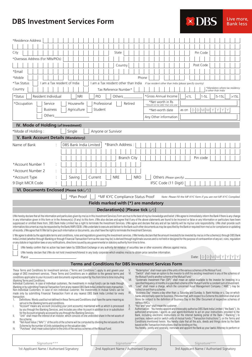

| *Residence Address                                                                                                                                                                                                                                                                                                                                                                                                                                                                                                                                                                                                                                                                                                                                                                                                                                                                                                                                                                                                                                                                                                                                                                                                                                                                                                                                                                                                                                                                                                                                                                                                                                                                                                            |                                                              |                                      |                                               |               |                                                                                                                                                                                                                                                                                                                                                                                                                                                                                                                                                                                                                                                                                                                                                                                                                                                                                                                                                                                                                                                                                                                                                                                                                                                                                                                                                                                                                                                                                                                                                                                                                                                                                               |                                                        |       |                                                                   |              |                                                       |         |    |      |
|-------------------------------------------------------------------------------------------------------------------------------------------------------------------------------------------------------------------------------------------------------------------------------------------------------------------------------------------------------------------------------------------------------------------------------------------------------------------------------------------------------------------------------------------------------------------------------------------------------------------------------------------------------------------------------------------------------------------------------------------------------------------------------------------------------------------------------------------------------------------------------------------------------------------------------------------------------------------------------------------------------------------------------------------------------------------------------------------------------------------------------------------------------------------------------------------------------------------------------------------------------------------------------------------------------------------------------------------------------------------------------------------------------------------------------------------------------------------------------------------------------------------------------------------------------------------------------------------------------------------------------------------------------------------------------------------------------------------------------|--------------------------------------------------------------|--------------------------------------|-----------------------------------------------|---------------|-----------------------------------------------------------------------------------------------------------------------------------------------------------------------------------------------------------------------------------------------------------------------------------------------------------------------------------------------------------------------------------------------------------------------------------------------------------------------------------------------------------------------------------------------------------------------------------------------------------------------------------------------------------------------------------------------------------------------------------------------------------------------------------------------------------------------------------------------------------------------------------------------------------------------------------------------------------------------------------------------------------------------------------------------------------------------------------------------------------------------------------------------------------------------------------------------------------------------------------------------------------------------------------------------------------------------------------------------------------------------------------------------------------------------------------------------------------------------------------------------------------------------------------------------------------------------------------------------------------------------------------------------------------------------------------------------|--------------------------------------------------------|-------|-------------------------------------------------------------------|--------------|-------------------------------------------------------|---------|----|------|
|                                                                                                                                                                                                                                                                                                                                                                                                                                                                                                                                                                                                                                                                                                                                                                                                                                                                                                                                                                                                                                                                                                                                                                                                                                                                                                                                                                                                                                                                                                                                                                                                                                                                                                                               |                                                              |                                      |                                               |               |                                                                                                                                                                                                                                                                                                                                                                                                                                                                                                                                                                                                                                                                                                                                                                                                                                                                                                                                                                                                                                                                                                                                                                                                                                                                                                                                                                                                                                                                                                                                                                                                                                                                                               |                                                        |       |                                                                   |              |                                                       |         |    |      |
| City                                                                                                                                                                                                                                                                                                                                                                                                                                                                                                                                                                                                                                                                                                                                                                                                                                                                                                                                                                                                                                                                                                                                                                                                                                                                                                                                                                                                                                                                                                                                                                                                                                                                                                                          |                                                              |                                      | State                                         |               |                                                                                                                                                                                                                                                                                                                                                                                                                                                                                                                                                                                                                                                                                                                                                                                                                                                                                                                                                                                                                                                                                                                                                                                                                                                                                                                                                                                                                                                                                                                                                                                                                                                                                               |                                                        |       |                                                                   | Pin Code     |                                                       |         |    |      |
| *Overseas Address (For NRIs/PIOs)                                                                                                                                                                                                                                                                                                                                                                                                                                                                                                                                                                                                                                                                                                                                                                                                                                                                                                                                                                                                                                                                                                                                                                                                                                                                                                                                                                                                                                                                                                                                                                                                                                                                                             |                                                              |                                      |                                               |               |                                                                                                                                                                                                                                                                                                                                                                                                                                                                                                                                                                                                                                                                                                                                                                                                                                                                                                                                                                                                                                                                                                                                                                                                                                                                                                                                                                                                                                                                                                                                                                                                                                                                                               |                                                        |       |                                                                   |              |                                                       |         |    |      |
|                                                                                                                                                                                                                                                                                                                                                                                                                                                                                                                                                                                                                                                                                                                                                                                                                                                                                                                                                                                                                                                                                                                                                                                                                                                                                                                                                                                                                                                                                                                                                                                                                                                                                                                               |                                                              |                                      | Country                                       |               |                                                                                                                                                                                                                                                                                                                                                                                                                                                                                                                                                                                                                                                                                                                                                                                                                                                                                                                                                                                                                                                                                                                                                                                                                                                                                                                                                                                                                                                                                                                                                                                                                                                                                               |                                                        |       |                                                                   | Post Code    |                                                       |         |    |      |
| *Email                                                                                                                                                                                                                                                                                                                                                                                                                                                                                                                                                                                                                                                                                                                                                                                                                                                                                                                                                                                                                                                                                                                                                                                                                                                                                                                                                                                                                                                                                                                                                                                                                                                                                                                        |                                                              |                                      |                                               |               |                                                                                                                                                                                                                                                                                                                                                                                                                                                                                                                                                                                                                                                                                                                                                                                                                                                                                                                                                                                                                                                                                                                                                                                                                                                                                                                                                                                                                                                                                                                                                                                                                                                                                               |                                                        |       |                                                                   |              |                                                       |         |    |      |
| *Mobile                                                                                                                                                                                                                                                                                                                                                                                                                                                                                                                                                                                                                                                                                                                                                                                                                                                                                                                                                                                                                                                                                                                                                                                                                                                                                                                                                                                                                                                                                                                                                                                                                                                                                                                       |                                                              |                                      |                                               | Phone         |                                                                                                                                                                                                                                                                                                                                                                                                                                                                                                                                                                                                                                                                                                                                                                                                                                                                                                                                                                                                                                                                                                                                                                                                                                                                                                                                                                                                                                                                                                                                                                                                                                                                                               |                                                        |       |                                                                   |              |                                                       |         |    |      |
| *Tax Status                                                                                                                                                                                                                                                                                                                                                                                                                                                                                                                                                                                                                                                                                                                                                                                                                                                                                                                                                                                                                                                                                                                                                                                                                                                                                                                                                                                                                                                                                                                                                                                                                                                                                                                   | I am a Tax resident of India                                 | I am a Tax resident other than India |                                               |               | If tax resident other than India (please specify country)                                                                                                                                                                                                                                                                                                                                                                                                                                                                                                                                                                                                                                                                                                                                                                                                                                                                                                                                                                                                                                                                                                                                                                                                                                                                                                                                                                                                                                                                                                                                                                                                                                     |                                                        |       |                                                                   |              |                                                       |         |    |      |
| Country                                                                                                                                                                                                                                                                                                                                                                                                                                                                                                                                                                                                                                                                                                                                                                                                                                                                                                                                                                                                                                                                                                                                                                                                                                                                                                                                                                                                                                                                                                                                                                                                                                                                                                                       |                                                              |                                      | Tax Reference Number*                         |               |                                                                                                                                                                                                                                                                                                                                                                                                                                                                                                                                                                                                                                                                                                                                                                                                                                                                                                                                                                                                                                                                                                                                                                                                                                                                                                                                                                                                                                                                                                                                                                                                                                                                                               |                                                        |       |                                                                   |              | *Mandatory where tax residency<br>is other than India |         |    |      |
| *Status<br>Resident Individual                                                                                                                                                                                                                                                                                                                                                                                                                                                                                                                                                                                                                                                                                                                                                                                                                                                                                                                                                                                                                                                                                                                                                                                                                                                                                                                                                                                                                                                                                                                                                                                                                                                                                                | <b>NRI</b>                                                   | <b>PIO</b>                           | Others                                        |               | *Gross Annual Income                                                                                                                                                                                                                                                                                                                                                                                                                                                                                                                                                                                                                                                                                                                                                                                                                                                                                                                                                                                                                                                                                                                                                                                                                                                                                                                                                                                                                                                                                                                                                                                                                                                                          |                                                        |       | $<$ 11                                                            | 1-5L         |                                                       | $5-15L$ |    | >15L |
| *Occupation<br>Service                                                                                                                                                                                                                                                                                                                                                                                                                                                                                                                                                                                                                                                                                                                                                                                                                                                                                                                                                                                                                                                                                                                                                                                                                                                                                                                                                                                                                                                                                                                                                                                                                                                                                                        | Housewife                                                    | Professional                         | Retired                                       |               |                                                                                                                                                                                                                                                                                                                                                                                                                                                                                                                                                                                                                                                                                                                                                                                                                                                                                                                                                                                                                                                                                                                                                                                                                                                                                                                                                                                                                                                                                                                                                                                                                                                                                               | *Net worth in Rs<br>*Should not be older than one year |       |                                                                   |              |                                                       |         |    |      |
| <b>Business</b>                                                                                                                                                                                                                                                                                                                                                                                                                                                                                                                                                                                                                                                                                                                                                                                                                                                                                                                                                                                                                                                                                                                                                                                                                                                                                                                                                                                                                                                                                                                                                                                                                                                                                                               | Agriculture                                                  | Student                              |                                               |               |                                                                                                                                                                                                                                                                                                                                                                                                                                                                                                                                                                                                                                                                                                                                                                                                                                                                                                                                                                                                                                                                                                                                                                                                                                                                                                                                                                                                                                                                                                                                                                                                                                                                                               | *Net-worth date                                        | as on |                                                                   |              | $D$ $D$ $M$ $M$ $Y$ $Y$                               |         |    |      |
| Others                                                                                                                                                                                                                                                                                                                                                                                                                                                                                                                                                                                                                                                                                                                                                                                                                                                                                                                                                                                                                                                                                                                                                                                                                                                                                                                                                                                                                                                                                                                                                                                                                                                                                                                        |                                                              |                                      |                                               |               | Any Other information                                                                                                                                                                                                                                                                                                                                                                                                                                                                                                                                                                                                                                                                                                                                                                                                                                                                                                                                                                                                                                                                                                                                                                                                                                                                                                                                                                                                                                                                                                                                                                                                                                                                         |                                                        |       |                                                                   |              |                                                       |         |    |      |
| IV. Mode of Holding (of Investment)                                                                                                                                                                                                                                                                                                                                                                                                                                                                                                                                                                                                                                                                                                                                                                                                                                                                                                                                                                                                                                                                                                                                                                                                                                                                                                                                                                                                                                                                                                                                                                                                                                                                                           |                                                              |                                      |                                               |               |                                                                                                                                                                                                                                                                                                                                                                                                                                                                                                                                                                                                                                                                                                                                                                                                                                                                                                                                                                                                                                                                                                                                                                                                                                                                                                                                                                                                                                                                                                                                                                                                                                                                                               |                                                        |       |                                                                   |              |                                                       |         |    |      |
| *Mode of Holding:                                                                                                                                                                                                                                                                                                                                                                                                                                                                                                                                                                                                                                                                                                                                                                                                                                                                                                                                                                                                                                                                                                                                                                                                                                                                                                                                                                                                                                                                                                                                                                                                                                                                                                             | Single                                                       | Anyone or Survivor                   |                                               |               |                                                                                                                                                                                                                                                                                                                                                                                                                                                                                                                                                                                                                                                                                                                                                                                                                                                                                                                                                                                                                                                                                                                                                                                                                                                                                                                                                                                                                                                                                                                                                                                                                                                                                               |                                                        |       |                                                                   |              |                                                       |         |    |      |
| <b>V. Bank Account Details (Mandatory)</b>                                                                                                                                                                                                                                                                                                                                                                                                                                                                                                                                                                                                                                                                                                                                                                                                                                                                                                                                                                                                                                                                                                                                                                                                                                                                                                                                                                                                                                                                                                                                                                                                                                                                                    |                                                              |                                      |                                               |               |                                                                                                                                                                                                                                                                                                                                                                                                                                                                                                                                                                                                                                                                                                                                                                                                                                                                                                                                                                                                                                                                                                                                                                                                                                                                                                                                                                                                                                                                                                                                                                                                                                                                                               |                                                        |       |                                                                   |              |                                                       |         |    |      |
| Name of Bank                                                                                                                                                                                                                                                                                                                                                                                                                                                                                                                                                                                                                                                                                                                                                                                                                                                                                                                                                                                                                                                                                                                                                                                                                                                                                                                                                                                                                                                                                                                                                                                                                                                                                                                  | DBS Bank India Limited                                       |                                      | *Branch Address:                              |               |                                                                                                                                                                                                                                                                                                                                                                                                                                                                                                                                                                                                                                                                                                                                                                                                                                                                                                                                                                                                                                                                                                                                                                                                                                                                                                                                                                                                                                                                                                                                                                                                                                                                                               |                                                        |       |                                                                   |              |                                                       |         |    |      |
|                                                                                                                                                                                                                                                                                                                                                                                                                                                                                                                                                                                                                                                                                                                                                                                                                                                                                                                                                                                                                                                                                                                                                                                                                                                                                                                                                                                                                                                                                                                                                                                                                                                                                                                               |                                                              |                                      |                                               |               |                                                                                                                                                                                                                                                                                                                                                                                                                                                                                                                                                                                                                                                                                                                                                                                                                                                                                                                                                                                                                                                                                                                                                                                                                                                                                                                                                                                                                                                                                                                                                                                                                                                                                               |                                                        |       |                                                                   |              |                                                       |         |    |      |
|                                                                                                                                                                                                                                                                                                                                                                                                                                                                                                                                                                                                                                                                                                                                                                                                                                                                                                                                                                                                                                                                                                                                                                                                                                                                                                                                                                                                                                                                                                                                                                                                                                                                                                                               |                                                              |                                      | <b>Branch City</b>                            |               |                                                                                                                                                                                                                                                                                                                                                                                                                                                                                                                                                                                                                                                                                                                                                                                                                                                                                                                                                                                                                                                                                                                                                                                                                                                                                                                                                                                                                                                                                                                                                                                                                                                                                               |                                                        |       |                                                                   | Pin code     |                                                       |         |    |      |
| *Account Number 1                                                                                                                                                                                                                                                                                                                                                                                                                                                                                                                                                                                                                                                                                                                                                                                                                                                                                                                                                                                                                                                                                                                                                                                                                                                                                                                                                                                                                                                                                                                                                                                                                                                                                                             |                                                              |                                      |                                               |               |                                                                                                                                                                                                                                                                                                                                                                                                                                                                                                                                                                                                                                                                                                                                                                                                                                                                                                                                                                                                                                                                                                                                                                                                                                                                                                                                                                                                                                                                                                                                                                                                                                                                                               |                                                        |       |                                                                   |              |                                                       |         |    |      |
| *Account Number 2                                                                                                                                                                                                                                                                                                                                                                                                                                                                                                                                                                                                                                                                                                                                                                                                                                                                                                                                                                                                                                                                                                                                                                                                                                                                                                                                                                                                                                                                                                                                                                                                                                                                                                             |                                                              |                                      |                                               |               |                                                                                                                                                                                                                                                                                                                                                                                                                                                                                                                                                                                                                                                                                                                                                                                                                                                                                                                                                                                                                                                                                                                                                                                                                                                                                                                                                                                                                                                                                                                                                                                                                                                                                               |                                                        |       |                                                                   |              |                                                       |         |    |      |
| *Account Type                                                                                                                                                                                                                                                                                                                                                                                                                                                                                                                                                                                                                                                                                                                                                                                                                                                                                                                                                                                                                                                                                                                                                                                                                                                                                                                                                                                                                                                                                                                                                                                                                                                                                                                 | Saving                                                       | Current                              | <b>NRE</b>                                    | <b>NRO</b>    |                                                                                                                                                                                                                                                                                                                                                                                                                                                                                                                                                                                                                                                                                                                                                                                                                                                                                                                                                                                                                                                                                                                                                                                                                                                                                                                                                                                                                                                                                                                                                                                                                                                                                               | Others (Please specify)                                |       |                                                                   |              |                                                       |         |    |      |
| 9 Digit MICR Code                                                                                                                                                                                                                                                                                                                                                                                                                                                                                                                                                                                                                                                                                                                                                                                                                                                                                                                                                                                                                                                                                                                                                                                                                                                                                                                                                                                                                                                                                                                                                                                                                                                                                                             |                                                              |                                      |                                               |               |                                                                                                                                                                                                                                                                                                                                                                                                                                                                                                                                                                                                                                                                                                                                                                                                                                                                                                                                                                                                                                                                                                                                                                                                                                                                                                                                                                                                                                                                                                                                                                                                                                                                                               | IFSC Code (11 Digit)                                   |       |                                                                   |              |                                                       |         |    |      |
| VI. Documents Enclosed [Please tick $(\vee)$ ]                                                                                                                                                                                                                                                                                                                                                                                                                                                                                                                                                                                                                                                                                                                                                                                                                                                                                                                                                                                                                                                                                                                                                                                                                                                                                                                                                                                                                                                                                                                                                                                                                                                                                |                                                              |                                      |                                               |               |                                                                                                                                                                                                                                                                                                                                                                                                                                                                                                                                                                                                                                                                                                                                                                                                                                                                                                                                                                                                                                                                                                                                                                                                                                                                                                                                                                                                                                                                                                                                                                                                                                                                                               |                                                        |       |                                                                   |              |                                                       |         |    |      |
|                                                                                                                                                                                                                                                                                                                                                                                                                                                                                                                                                                                                                                                                                                                                                                                                                                                                                                                                                                                                                                                                                                                                                                                                                                                                                                                                                                                                                                                                                                                                                                                                                                                                                                                               | *Pan Proof                                                   |                                      | *MF KYC Compliance Status Proof               |               |                                                                                                                                                                                                                                                                                                                                                                                                                                                                                                                                                                                                                                                                                                                                                                                                                                                                                                                                                                                                                                                                                                                                                                                                                                                                                                                                                                                                                                                                                                                                                                                                                                                                                               |                                                        |       | Note: Please Fill the MF KYC form if you are not MF KYC Complied. |              |                                                       |         |    |      |
|                                                                                                                                                                                                                                                                                                                                                                                                                                                                                                                                                                                                                                                                                                                                                                                                                                                                                                                                                                                                                                                                                                                                                                                                                                                                                                                                                                                                                                                                                                                                                                                                                                                                                                                               |                                                              | Fields marked with (*) are mandatory |                                               |               |                                                                                                                                                                                                                                                                                                                                                                                                                                                                                                                                                                                                                                                                                                                                                                                                                                                                                                                                                                                                                                                                                                                                                                                                                                                                                                                                                                                                                                                                                                                                                                                                                                                                                               |                                                        |       |                                                                   |              |                                                       |         |    |      |
|                                                                                                                                                                                                                                                                                                                                                                                                                                                                                                                                                                                                                                                                                                                                                                                                                                                                                                                                                                                                                                                                                                                                                                                                                                                                                                                                                                                                                                                                                                                                                                                                                                                                                                                               |                                                              |                                      | Declaration(s) [Please tick $(\sqrt{})$ ]     |               |                                                                                                                                                                                                                                                                                                                                                                                                                                                                                                                                                                                                                                                                                                                                                                                                                                                                                                                                                                                                                                                                                                                                                                                                                                                                                                                                                                                                                                                                                                                                                                                                                                                                                               |                                                        |       |                                                                   |              |                                                       |         |    |      |
| I/We hereby declare that all the information and particulars given by me/us in this Investment Services Form are true to the best of my/our knowledge and belief. I/We agree to immediately inform the Bank if there is any ch<br>in any information given in this form or in the Annexure(s) (if any) to this form. I/We also declare and agree that if any of the above statements are found to be incorrect or false or any information or particulars have b<br>suppressed or omitted there from, DBS Bank India Limited has a right to terminate the Investment Services. I/We agree and declare that any and all tax liability will be my/our sole responsibility. I/We shall provide such<br>information/document as may be requested by the Bank/AMFI/SEBI. I/We undertake to execute and deliver to the Bank such other documents as may be specified by the Bank or required from me/us for compliance or updating<br>of records. I/We agree that if I/We fail to give such information or documents, you shall have the right to terminate the Investment Services.                                                                                                                                                                                                                                                                                                                                                                                                                                                                                                                                                                                                                                                |                                                              |                                      |                                               |               |                                                                                                                                                                                                                                                                                                                                                                                                                                                                                                                                                                                                                                                                                                                                                                                                                                                                                                                                                                                                                                                                                                                                                                                                                                                                                                                                                                                                                                                                                                                                                                                                                                                                                               |                                                        |       |                                                                   |              |                                                       |         |    |      |
| I/We agree to abide by the applicable terms and conditions, rules and regulations governing the investment services. I/We hereby declare that the amount invested/to be invested by me/us in the scheme(s) through DBS Bank<br>India Limited (whether through iBanking or through Financial Transaction Form as the case may be) is derived through legitimate sources and is not held or designed for the purpose of contravention of any act, rules, regula<br>or any statute or legislation laws or any notifications, directions issued by any governmental or statutory authority from time to time.<br>I/We hereby confirm that no action has been taken by SEBI/Stock Exchange or any authority for violation of securities law or other economic offences against me/us.                                                                                                                                                                                                                                                                                                                                                                                                                                                                                                                                                                                                                                                                                                                                                                                                                                                                                                                                              |                                                              |                                      |                                               |               |                                                                                                                                                                                                                                                                                                                                                                                                                                                                                                                                                                                                                                                                                                                                                                                                                                                                                                                                                                                                                                                                                                                                                                                                                                                                                                                                                                                                                                                                                                                                                                                                                                                                                               |                                                        |       |                                                                   |              |                                                       |         |    |      |
| I/We hereby declare that I/We do not hold investment/Interest in any body corporate which enables me/us to obtain price sensitive information.                                                                                                                                                                                                                                                                                                                                                                                                                                                                                                                                                                                                                                                                                                                                                                                                                                                                                                                                                                                                                                                                                                                                                                                                                                                                                                                                                                                                                                                                                                                                                                                |                                                              |                                      |                                               |               |                                                                                                                                                                                                                                                                                                                                                                                                                                                                                                                                                                                                                                                                                                                                                                                                                                                                                                                                                                                                                                                                                                                                                                                                                                                                                                                                                                                                                                                                                                                                                                                                                                                                                               |                                                        |       |                                                                   |              |                                                       |         |    |      |
| $Place$ $\_\$                                                                                                                                                                                                                                                                                                                                                                                                                                                                                                                                                                                                                                                                                                                                                                                                                                                                                                                                                                                                                                                                                                                                                                                                                                                                                                                                                                                                                                                                                                                                                                                                                                                                                                                 |                                                              |                                      |                                               |               |                                                                                                                                                                                                                                                                                                                                                                                                                                                                                                                                                                                                                                                                                                                                                                                                                                                                                                                                                                                                                                                                                                                                                                                                                                                                                                                                                                                                                                                                                                                                                                                                                                                                                               |                                                        |       |                                                                   |              | Date: $D$ $D$ $M$ $M$ $Y$ $Y$                         |         | Y. |      |
|                                                                                                                                                                                                                                                                                                                                                                                                                                                                                                                                                                                                                                                                                                                                                                                                                                                                                                                                                                                                                                                                                                                                                                                                                                                                                                                                                                                                                                                                                                                                                                                                                                                                                                                               | <b>Terms and Conditions for DBS Investment Services Form</b> |                                      |                                               |               |                                                                                                                                                                                                                                                                                                                                                                                                                                                                                                                                                                                                                                                                                                                                                                                                                                                                                                                                                                                                                                                                                                                                                                                                                                                                                                                                                                                                                                                                                                                                                                                                                                                                                               |                                                        |       |                                                                   |              |                                                       |         |    |      |
| These Terms and Conditions for investment services ("Terms and Conditions") apply to and govern your<br>usage of DBS investment services. These Terms and Conditions are in addition to the general terms and<br>conditions applicable to your Account/s and documents signed/accepted by You from time to time including<br>iBanking Terms and Conditions.<br>Individual Customers: In case of individual customers, the investments in mutual fund/s can be made through<br>iBanking or by submitting Financial Transaction Form at any nearest DBS Bank India Limited for every transaction.<br>Non-Individual Customers: In case of non-individual customer, the investments in mutual fund/s can be<br>made only by submitting Financial Transaction Form at any nearest DBS Bank India Limited for every<br>transaction.<br>Definitions: Words used but not defined in these Terms and Conditions shall have the same meaning as<br>1.<br>set out in the iBanking terms and conditions.<br>"Account" means any account (including your joint accounts) maintained with us which is processed<br>I.<br>by you through the iBanking Services, and includes any other Account in addition to or in substitution<br>for the Account originally accessed by you through the iBanking Services;<br>"Unit" shall mean the interest of an investor, which consists of one undivided share in the net assets of<br>II.<br>the scheme.<br>Ⅲ.<br>"Net Asset Value ("NAV")" of the units of the scheme will be computed by dividing the net assets of the<br>Scheme by the number of Units outstanding on the valuation date."<br>"Purchase" shall mean subscription to the units of the various schemes of the Mutual Fund.<br>IV. |                                                              |                                      | V.<br>VI.<br>VII.<br>VIII.<br>IX.<br>Х.<br>2. | various AMCs. | "Redemption" shall mean sale of the units of the various schemes of the Mutual Fund.<br>"Switch" shall mean an option to the investor to shift his existing investment in any of the schemes of<br>the Mutual Fund to another scheme of the Mutual Fund."<br>"Systematic Investment Plan (SIP)" shall mean an option available to the investor for investing in a<br>specified frequency of months in a specified scheme of the Mutual Fund for a constant sum of investment.<br>"Load" shall mean a charge, which the concerned Asset Management Company ("AMC") may be<br>collect on exit from a scheme.<br>"Business Day" means a day other than: a. Saturday and Sunday; b. Bank Holiday or c. Day on which<br>banks are normally open for business. Provided that, with respect to a Scheme this definition shall at all<br>times be subject to the definition of Business Day in the Offer Document of respective schemes of<br>"You" and "your" shall mean the customer.<br>Authorisation: You hereby appoint and irrevocably authorise DBS Bank India Limited ("the Bank"), its<br>authorized employees / agents as your agent/distributor to act on your instructions provided to the<br>Bank, including electronic instructions on the internet banking portal of the Bank ("iBanking") to<br>purchase, redeem and/or switch units of mutual funds ("Transaction Instructions"), on the Terms and<br>Conditions mentioned herein. You hereby state that all the acts, deeds and things done by the Bank<br>based on the Transaction Instructions shall be binding on You.<br>You hereby, jointly and severally, nominate and appoint the Bank as your lawful Attorney to perform or |                                                        |       |                                                                   |              |                                                       |         |    |      |
| Signature***                                                                                                                                                                                                                                                                                                                                                                                                                                                                                                                                                                                                                                                                                                                                                                                                                                                                                                                                                                                                                                                                                                                                                                                                                                                                                                                                                                                                                                                                                                                                                                                                                                                                                                                  |                                                              |                                      | Signature***                                  |               |                                                                                                                                                                                                                                                                                                                                                                                                                                                                                                                                                                                                                                                                                                                                                                                                                                                                                                                                                                                                                                                                                                                                                                                                                                                                                                                                                                                                                                                                                                                                                                                                                                                                                               |                                                        |       |                                                                   | Signature*** |                                                       |         |    |      |

1st Applicant Name / Authorised Signatory

2nd Applicant Name / Authorised Signatory

3rd Applicant Name / Authorised Signatory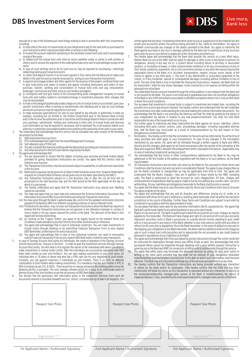

- 
- b) to receive the account statement pertaining to the aforesaid mutual fund units and to acknowledge<br>b) to receive the account statement pertaining to the aforesaid mutual fund units and to acknowledge<br>receint of the same
- 
- redeeming/selling any mutual fund unit/s.<br>to collect and deposit monies in an Account opened in Your name with the Bank and to make such
- 
- 
- 
- specific instructions either in writing or electronically over iBanking and to sign all such writings and do all such acts as may be required for such acts;
- i) to make necessary application(s) for and on your behalf to any officials or authorities in India (or<br>outside), including but not limited to, the Central Government and/ or the Reserve Bank of India<br>and/ or the Income Ta
- -
	-
	-
- -
	-
	-
	- processed on the next Business Day and the NAV would be the NAV applicable on the day on<br>which it is processed.
	- cannot be cancelled.<br>
	You agree to abide by the same.<br>
	You state and agree that you have read and understood the Scheme Information Document /Key 15. You agree to abide by the same.
	-
	- payable to the Bank by AMCs for different competing schemes of various Mutual Funds.<br>(iii) The Bank at its discretion, may not carry out Transaction Instructions where the Bank has reasons to 16
	- believe that the Transaction Instructions are not genuine or are otherwise improper or unclear or raise a doubt or for any reason beyond the control of the Bank. The decision of the Bank in this regard will be final and binding.<br>by clicking on the "I agree" button, you agree to be legally bound by the relevant Terms and
	-
	-
	-
- (xi) You agree and acknowledge that in case of non-individual customer, you need to necessarily<br>
submit firancation Softwaria and individual customs and individual customs and acknowledge that in case of Saving account hel
- 

execute all or any of the following act sand things relating to and in connection with Your investments, further agree that any false/misleading information given by you or suppression of any material fact will<br>includin a) to subscribe to the units of mutual funds on your behalf and to pay for the said units so purchased on forthwith communicate any changes in the details provided to the Bank. You agree to indemnify the be provided at may be provided with may be provided by the Bank due to submission of any incorrect<br>particulars by you or your failure to update any of the information provided to us.

**NRS** 

Live more,

**Bank less** 

- .7. You hereby agree and acknowledge that the Bank shall provide this service on a best effort basis.<br>C) to redeem/sell the mutual fund units held by me/us (whether solely or jointly or with another or whether Bank nor any same.<br>Systems, or fluctuation of power, or other environmental conditions or for any circumstances of acts of<br>God. floods, epidemics quarantine, riot or civil commotion and war or any other like reasons beyond the d) to sign all such writings and to do all such acts as may be required for purchasing / switching/<br>reasonable control of the Bank; or b. Accident, transportation, neglect, misuse, errors, frauds, of the<br>reasonable control e) to collect and deposit monies in an Account opened in Your name with the Bank and to make such clients or agents or any third party; c. Any fault in any attachments or associated equipment of the debits in the said Acco clients; or d'Any incidental, special or consequential damages including without limitation of loss of profit. The role of the Bank is only to facilitate the Transaction Instructions. However, the Bank shall not f) to appoint and engage brokers and other agents for the purpose of the powers conferred herein and<br>to give instructions and orders to brokers and agents including instructions and orders of sale,<br>purchase, transfer, spli
- purchase, transfer, splitting and consolidation of mutual fund units and pay remuneration,<br>brokerage, commission and other sums to such brokers and agents. When the sumpary of mutual any amount invested through the online g) to correspond with and give notice to the corresponding asset management company of mutual<br>fine Bank. The same is not endorsed or guaranteed and does not constitute obligations<br>for the Bank or any of the subsidiaries as fund units and matters related to nomination/change in investment plans/any other changes that of the Bank or any of the subsidiaries associated or affiliated companies whose role is only as described may be necessitated.
- metric instructions either in writing or electronically over iBanking and to sign all such writings or in such and to sign all such writings and original muchally the investment in mutual funds is subject to investment and
	- your purchase, sale/transfer, holding and continuing to hold units of mutual funds and disclose 10. You further agree to indemnify and keep indemnified the Bank against all losses, liabilities, claims<br>such information as m such information as may be required or necessary, and to represent You in all respects before such (including third party claims), actions, suits, proceedings damages, including reasonable attorney<br>authority or authorities
- 3. You understand and acknowledge that this service will be activated only upon receipt of the following<br>documents by the Bank:<br>(i) DBS Investment Services Form.<br>(ii) Self-attested copy of PAN Card.<br>(iii) Self-attested cop
- ow the document in the form and manner required by the Bank.<br>The sank and respective AMCs relevant office/department within stipulated time period. (Applicable only<br>(i) You agree and acknowledge that:<br>(i) You are responsib
	- inked to your Account.<br>iii) The Transaction Instructions shall be processed subject to availability of sufficient and clear funds and<br>in the Account. Conditions shall be account consideration Instructions shall be processe Conditions shall be at your risk and cost and in consideration thereof, You agree to pay charges/fees as per the Bank's schedule of charges/fees as may be applicable from time to time. You agree and iii) Redemption requests can be given for all Open Ended Schemes at any time. However Redemption per the Bank's schedule of charges/fees as may be applicable from time to time. You agree and<br>requests for Closed Ended Schem (iv) Any Transaction Instruction placed on a non-Business Day or after the cut off time will be Load. The Bank is authorised to debit the Account for such charges/fees. All fees, charges and processed on the next Business
	- which it is processed.<br>Withholding. All your liabilities and obligations hereunder to the Bank shall be joint or several.<br>Yo You hereby understand and agree that the Transaction Instruction once placed over iBanking 14. Yo
	- (vi) You state and agree that you have read and understood the Scheme Information Document /Key 15. You agree and acknowledge that any and all disputes and differences arising out of, under or in<br>Information Document/Offer connection with these Terms and Conditions or anything done hereunder shall be within the exclusive jurisdiction to the courts of Mumbai. Further these Terms and Conditions are subject to and shall be conducted in accordance with the laws prevalent in India.
		- You are aware that Bank never asks for any sensitive information like ID, passwords etc. You agree that
	- Bank will not be made liable for any phishing attack or any such cyber frauds.<br>Rights of Lien and set off: The Bank is authorised to debit the Account for all costs, charges as may be<br>payable by You hereunder. The Bank wil ix) by clicking on the "I agree" button, you agree to be legally bound by the relevant Terms and ydeposits/ securities /units in Bank's possession or custody and all monies standing to your credit (ix) Conditions made avai Conditions made available to you from time to time either electronically or otherwise.<br>(x) You agree and acknowledge that in case of individual customers, You can make investments in which in any account in any branch of t mutual fund/s through iBanking or by submitting Financial Transaction Form at your nearest<br>DBS Bank India Limited branch for every transaction.<br>You agree and acknowledge that in case of non-individual customer, you need to
		-
		-
		-

| Passport Size Photo |  | Passport Size Photo |  | Passport Size Photo |  |
|---------------------|--|---------------------|--|---------------------|--|
| Signature***        |  | Signature***        |  | Signature***        |  |

1st Applicant Name / Authorised Signatory 2nd Applicant Name / Authorised Signatory 3rd Applicant Name / Authorised Signatory